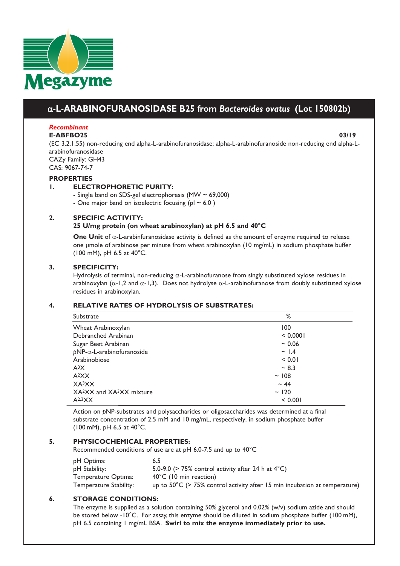

# a**-L-ARABINOFURANOSIDASE B25 from** *Bacteroides ovatus* **(Lot 150802b)**

## *Recombinant*

#### **E-ABFBO25 03/19**

(EC 3.2.1.55) non-reducing end alpha-L-arabinofuranosidase; alpha-L-arabinofuranoside non-reducing end alpha-Larabinofuranosidase CAZy Family: GH43

CAS: 9067-74-7

#### **PROPERTIES**

## **1. ELECTROPHORETIC PURITY:**

- Single band on SDS-gel electrophoresis (MW  $\sim$  69,000)

- One major band on isoelectric focusing ( $p1 \sim 6.0$ )

#### **2. SPECIFIC ACTIVITY:**

#### **25 U/mg protein (on wheat arabinoxylan) at pH 6.5 and 40°C**

**One Unit** of α-L-arabinfuranosidase activity is defined as the amount of enzyme required to release one μmole of arabinose per minute from wheat arabinoxylan (10 mg/mL) in sodium phosphate buffer (100 mM), pH 6.5 at 40°C.

#### **3. SPECIFICITY:**

Hydrolysis of terminal, non-reducing  $\alpha$ -L-arabinofuranose from singly substituted xylose residues in arabinoxylan ( $\alpha$ -1,2 and  $\alpha$ -1,3). Does not hydrolyse  $\alpha$ -L-arabinofuranose from doubly substituted xylose residues in arabinoxylan.

#### **4. RELATIVE RATES OF HYDROLYSIS OF SUBSTRATES:**

#### Substrate % Wheat Arabinoxylan 100 Debranched Arabinan < 0.0001 Sugar Beet Arabinan  $\sim 0.06$ *p*NP-α-L-arabinofuranoside ~ 1.4 Arabinobiose < 0.01  $A^{3}X$   $\sim 8.3$  $A<sup>2</sup>XX$   $\sim$  108  $XA<sup>3</sup>XX$   $\sim$  44  $XA<sup>2</sup>XX$  and  $XA<sup>3</sup>XX$  mixture  $\sim$  120  $A^{2,3}XX$  < 0.001

Action on *p*NP-substrates and polysaccharides or oligosaccharides was determined at a final substrate concentration of 2.5 mM and 10 mg/mL, respectively, in sodium phosphate buffer (100 mM), pH 6.5 at 40°C.

## **5. PHYSICOCHEMICAL PROPERTIES:**

Recommended conditions of use are at pH 6.0-7.5 and up to 40°C

| pH Optima:             | 6.5                                                                                  |
|------------------------|--------------------------------------------------------------------------------------|
| pH Stability:          | 5.0-9.0 ( $>$ 75% control activity after 24 h at 4 $^{\circ}$ C)                     |
| Temperature Optima:    | $40^{\circ}$ C (10 min reaction)                                                     |
| Temperature Stability: | up to $50^{\circ}$ C (> 75% control activity after 15 min incubation at temperature) |

## **6. STORAGE CONDITIONS:**

The enzyme is supplied as a solution containing 50% glycerol and 0.02% (w/v) sodium azide and should be stored below -10°C. For assay, this enzyme should be diluted in sodium phosphate buffer (100 mM), pH 6.5 containing 1 mg/mL BSA. **Swirl to mix the enzyme immediately prior to use.**